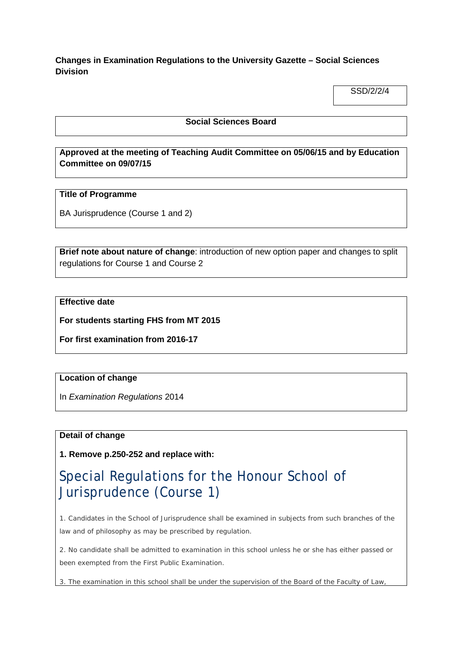**Changes in Examination Regulations to the University Gazette – Social Sciences Division**

SSD/2/2/4

## **Social Sciences Board**

**Approved at the meeting of Teaching Audit Committee on 05/06/15 and by Education Committee on 09/07/15**

## **Title of Programme**

BA Jurisprudence (Course 1 and 2)

**Brief note about nature of change**: introduction of new option paper and changes to split regulations for Course 1 and Course 2

# **Effective date**

**For students starting FHS from MT 2015**

**For first examination from 2016-17**

# **Location of change**

In *Examination Regulations* 2014

# **Detail of change**

**1. Remove p.250-252 and replace with:**

# Special Regulations for the Honour School of Jurisprudence (Course 1)

1. Candidates in the School of Jurisprudence shall be examined in subjects from such branches of the law and of philosophy as may be prescribed by regulation.

2. No candidate shall be admitted to examination in this school unless he or she has either passed or been exempted from the First Public Examination.

3. The examination in this school shall be under the supervision of the Board of the Faculty of Law,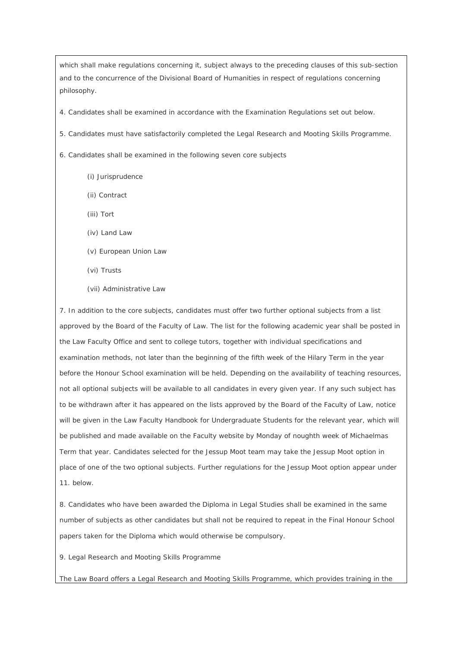which shall make regulations concerning it, subject always to the preceding clauses of this sub-section and to the concurrence of the Divisional Board of Humanities in respect of regulations concerning philosophy.

4. Candidates shall be examined in accordance with the Examination Regulations set out below.

5. Candidates must have satisfactorily completed the Legal Research and Mooting Skills Programme.

6. Candidates shall be examined in the following seven core subjects

- (i) Jurisprudence
- (ii) Contract
- (iii) Tort
- (iv) Land Law
- (v) European Union Law

(vi) Trusts

(vii) Administrative Law

7. In addition to the core subjects, candidates must offer two further optional subjects from a list approved by the Board of the Faculty of Law. The list for the following academic year shall be posted in the Law Faculty Office and sent to college tutors, together with individual specifications and examination methods, not later than the beginning of the fifth week of the Hilary Term in the year before the Honour School examination will be held. Depending on the availability of teaching resources, not all optional subjects will be available to all candidates in every given year. If any such subject has to be withdrawn after it has appeared on the lists approved by the Board of the Faculty of Law, notice will be given in the Law Faculty Handbook for Undergraduate Students for the relevant year, which will be published and made available on the Faculty website by Monday of noughth week of Michaelmas Term that year. Candidates selected for the Jessup Moot team may take the Jessup Moot option in place of one of the two optional subjects. Further regulations for the Jessup Moot option appear under 11. below.

8. Candidates who have been awarded the Diploma in Legal Studies shall be examined in the same number of subjects as other candidates but shall not be required to repeat in the Final Honour School papers taken for the Diploma which would otherwise be compulsory.

9. *Legal Research and Mooting Skills Programme*

The Law Board offers a Legal Research and Mooting Skills Programme, which provides training in the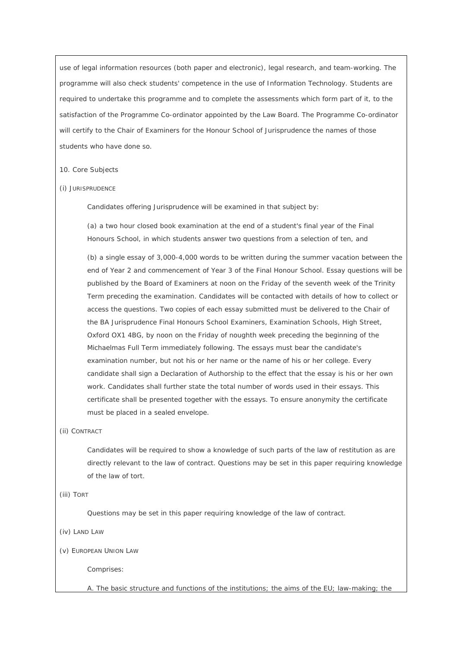use of legal information resources (both paper and electronic), legal research, and team-working. The programme will also check students' competence in the use of Information Technology. Students are required to undertake this programme and to complete the assessments which form part of it, to the satisfaction of the Programme Co-ordinator appointed by the Law Board. The Programme Co-ordinator will certify to the Chair of Examiners for the Honour School of Jurisprudence the names of those students who have done so.

#### 10. *Core Subjects*

## (i) JURISPRUDENCE

Candidates offering Jurisprudence will be examined in that subject by:

(a) a two hour closed book examination at the end of a student's final year of the Final Honours School, in which students answer two questions from a selection of ten, and

(b) a single essay of 3,000-4,000 words to be written during the summer vacation between the end of Year 2 and commencement of Year 3 of the Final Honour School. Essay questions will be published by the Board of Examiners at noon on the Friday of the seventh week of the Trinity Term preceding the examination. Candidates will be contacted with details of how to collect or access the questions. Two copies of each essay submitted must be delivered to the Chair of the BA Jurisprudence Final Honours School Examiners, Examination Schools, High Street, Oxford OX1 4BG, by noon on the Friday of noughth week preceding the beginning of the Michaelmas Full Term immediately following. The essays must bear the candidate's examination number, but not his or her name or the name of his or her college. Every candidate shall sign a Declaration of Authorship to the effect that the essay is his or her own work. Candidates shall further state the total number of words used in their essays. This certificate shall be presented together with the essays. To ensure anonymity the certificate must be placed in a sealed envelope.

(ii) CONTRACT

Candidates will be required to show a knowledge of such parts of the law of restitution as are directly relevant to the law of contract. Questions may be set in this paper requiring knowledge of the law of tort.

(iii) TORT

Questions may be set in this paper requiring knowledge of the law of contract.

(iv) LAND LAW

(v) EUROPEAN UNION LAW

Comprises:

A. The basic structure and functions of the institutions; the aims of the EU; law-making; the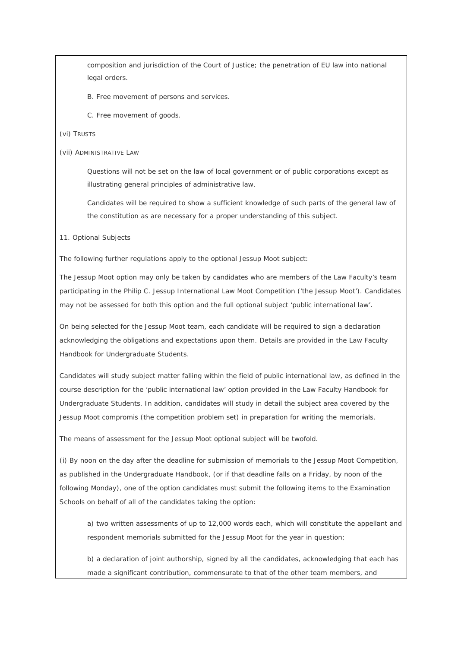composition and jurisdiction of the Court of Justice; the penetration of EU law into national legal orders.

B. Free movement of persons and services.

C. Free movement of goods.

## (vi) TRUSTS

### (vii) ADMINISTRATIVE LAW

Questions will not be set on the law of local government or of public corporations except as illustrating general principles of administrative law.

Candidates will be required to show a sufficient knowledge of such parts of the general law of the constitution as are necessary for a proper understanding of this subject.

## 11. *Optional Subjects*

The following further regulations apply to the optional Jessup Moot subject:

The Jessup Moot option may only be taken by candidates who are members of the Law Faculty's team participating in the Philip C. Jessup International Law Moot Competition ('the Jessup Moot'). Candidates may not be assessed for both this option and the full optional subject 'public international law'.

On being selected for the Jessup Moot team, each candidate will be required to sign a declaration acknowledging the obligations and expectations upon them. Details are provided in the Law Faculty Handbook for Undergraduate Students.

Candidates will study subject matter falling within the field of public international law, as defined in the course description for the 'public international law' option provided in the Law Faculty Handbook for Undergraduate Students. In addition, candidates will study in detail the subject area covered by the Jessup Moot compromis (the competition problem set) in preparation for writing the memorials.

The means of assessment for the Jessup Moot optional subject will be twofold.

(i) By noon on the day after the deadline for submission of memorials to the Jessup Moot Competition, as published in the Undergraduate Handbook, (or if that deadline falls on a Friday, by noon of the following Monday), one of the option candidates must submit the following items to the Examination Schools on behalf of all of the candidates taking the option:

a) two written assessments of up to 12,000 words each, which will constitute the appellant and respondent memorials submitted for the Jessup Moot for the year in question;

b) a declaration of joint authorship, signed by all the candidates, acknowledging that each has made a significant contribution, commensurate to that of the other team members, and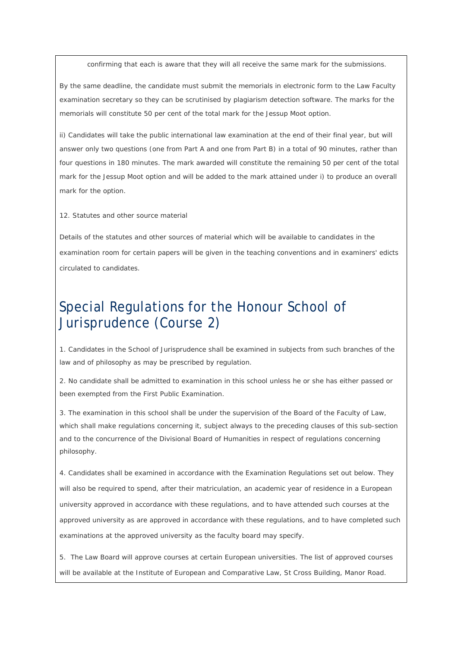confirming that each is aware that they will all receive the same mark for the submissions.

By the same deadline, the candidate must submit the memorials in electronic form to the Law Faculty examination secretary so they can be scrutinised by plagiarism detection software. The marks for the memorials will constitute 50 per cent of the total mark for the Jessup Moot option.

ii) Candidates will take the public international law examination at the end of their final year, but will answer only two questions (one from Part A and one from Part B) in a total of 90 minutes, rather than four questions in 180 minutes. The mark awarded will constitute the remaining 50 per cent of the total mark for the Jessup Moot option and will be added to the mark attained under i) to produce an overall mark for the option.

12*. Statutes and other source material*

Details of the statutes and other sources of material which will be available to candidates in the examination room for certain papers will be given in the teaching conventions and in examiners' edicts circulated to candidates.

# Special Regulations for the Honour School of Jurisprudence (Course 2)

1. Candidates in the School of Jurisprudence shall be examined in subjects from such branches of the law and of philosophy as may be prescribed by regulation.

2. No candidate shall be admitted to examination in this school unless he or she has either passed or been exempted from the First Public Examination.

3. The examination in this school shall be under the supervision of the Board of the Faculty of Law, which shall make regulations concerning it, subject always to the preceding clauses of this sub-section and to the concurrence of the Divisional Board of Humanities in respect of regulations concerning philosophy.

4. Candidates shall be examined in accordance with the Examination Regulations set out below. They will also be required to spend, after their matriculation, an academic year of residence in a European university approved in accordance with these regulations, and to have attended such courses at the approved university as are approved in accordance with these regulations, and to have completed such examinations at the approved university as the faculty board may specify.

5. The Law Board will approve courses at certain European universities. The list of approved courses will be available at the Institute of European and Comparative Law, St Cross Building, Manor Road.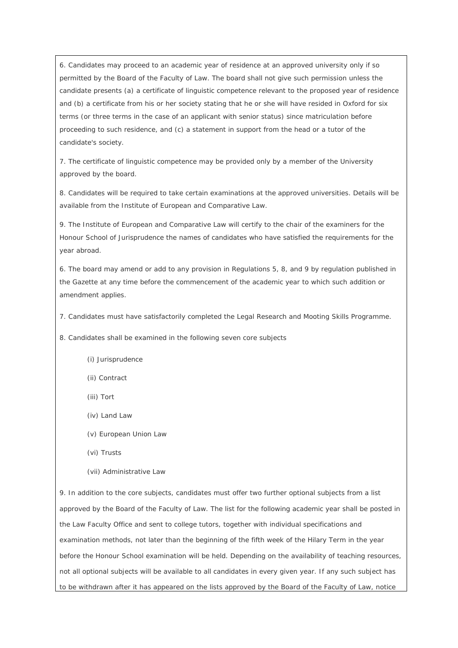6. Candidates may proceed to an academic year of residence at an approved university only if so permitted by the Board of the Faculty of Law. The board shall not give such permission unless the candidate presents (*a*) a certificate of linguistic competence relevant to the proposed year of residence and (b) a certificate from his or her society stating that he or she will have resided in Oxford for six terms (or three terms in the case of an applicant with senior status) since matriculation before proceeding to such residence, and (*c*) a statement in support from the head or a tutor of the candidate's society.

7. The certificate of linguistic competence may be provided only by a member of the University approved by the board.

8. Candidates will be required to take certain examinations at the approved universities. Details will be available from the Institute of European and Comparative Law.

9. The Institute of European and Comparative Law will certify to the chair of the examiners for the Honour School of Jurisprudence the names of candidates who have satisfied the requirements for the year abroad.

6. The board may amend or add to any provision in Regulations 5, 8, and 9 by regulation published in the *Gazette* at any time before the commencement of the academic year to which such addition or amendment applies.

7. Candidates must have satisfactorily completed the Legal Research and Mooting Skills Programme.

8. Candidates shall be examined in the following seven core subjects

(i) Jurisprudence

(ii) Contract

(iii) Tort

(iv) Land Law

(v) European Union Law

(vi) Trusts

(vii) Administrative Law

9. In addition to the core subjects, candidates must offer two further optional subjects from a list approved by the Board of the Faculty of Law. The list for the following academic year shall be posted in the Law Faculty Office and sent to college tutors, together with individual specifications and examination methods, not later than the beginning of the fifth week of the Hilary Term in the year before the Honour School examination will be held. Depending on the availability of teaching resources, not all optional subjects will be available to all candidates in every given year. If any such subject has to be withdrawn after it has appeared on the lists approved by the Board of the Faculty of Law, notice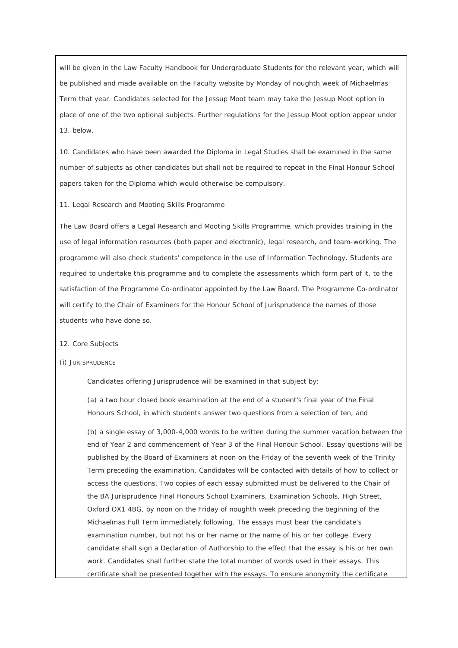will be given in the Law Faculty Handbook for Undergraduate Students for the relevant year, which will be published and made available on the Faculty website by Monday of noughth week of Michaelmas Term that year. Candidates selected for the Jessup Moot team may take the Jessup Moot option in place of one of the two optional subjects. Further regulations for the Jessup Moot option appear under 13. below.

10. Candidates who have been awarded the Diploma in Legal Studies shall be examined in the same number of subjects as other candidates but shall not be required to repeat in the Final Honour School papers taken for the Diploma which would otherwise be compulsory.

#### 11. *Legal Research and Mooting Skills Programme*

The Law Board offers a Legal Research and Mooting Skills Programme, which provides training in the use of legal information resources (both paper and electronic), legal research, and team-working. The programme will also check students' competence in the use of Information Technology. Students are required to undertake this programme and to complete the assessments which form part of it, to the satisfaction of the Programme Co-ordinator appointed by the Law Board. The Programme Co-ordinator will certify to the Chair of Examiners for the Honour School of Jurisprudence the names of those students who have done so.

#### 12. *Core Subjects*

#### (i) JURISPRUDENCE

Candidates offering Jurisprudence will be examined in that subject by:

(a) a two hour closed book examination at the end of a student's final year of the Final Honours School, in which students answer two questions from a selection of ten, and

(b) a single essay of 3,000-4,000 words to be written during the summer vacation between the end of Year 2 and commencement of Year 3 of the Final Honour School. Essay questions will be published by the Board of Examiners at noon on the Friday of the seventh week of the Trinity Term preceding the examination. Candidates will be contacted with details of how to collect or access the questions. Two copies of each essay submitted must be delivered to the Chair of the BA Jurisprudence Final Honours School Examiners, Examination Schools, High Street, Oxford OX1 4BG, by noon on the Friday of noughth week preceding the beginning of the Michaelmas Full Term immediately following. The essays must bear the candidate's examination number, but not his or her name or the name of his or her college. Every candidate shall sign a Declaration of Authorship to the effect that the essay is his or her own work. Candidates shall further state the total number of words used in their essays. This certificate shall be presented together with the essays. To ensure anonymity the certificate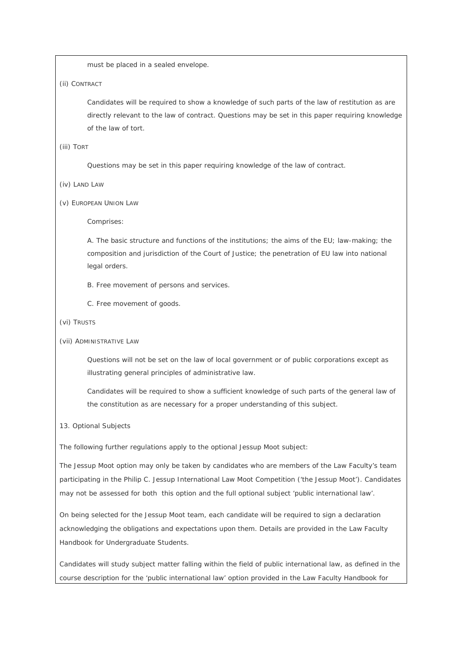must be placed in a sealed envelope.

(ii) CONTRACT

Candidates will be required to show a knowledge of such parts of the law of restitution as are directly relevant to the law of contract. Questions may be set in this paper requiring knowledge of the law of tort.

#### (iii) TORT

Questions may be set in this paper requiring knowledge of the law of contract.

- (iv) LAND LAW
- (v) EUROPEAN UNION LAW

Comprises:

A. The basic structure and functions of the institutions; the aims of the EU; law-making; the composition and jurisdiction of the Court of Justice; the penetration of EU law into national legal orders.

B. Free movement of persons and services.

- C. Free movement of goods.
- (vi) TRUSTS
- (vii) ADMINISTRATIVE LAW

Questions will not be set on the law of local government or of public corporations except as illustrating general principles of administrative law.

Candidates will be required to show a sufficient knowledge of such parts of the general law of the constitution as are necessary for a proper understanding of this subject.

13. *Optional Subjects*

The following further regulations apply to the optional Jessup Moot subject:

The Jessup Moot option may only be taken by candidates who are members of the Law Faculty's team participating in the Philip C. Jessup International Law Moot Competition ('the Jessup Moot'). Candidates may not be assessed for both this option and the full optional subject 'public international law'.

On being selected for the Jessup Moot team, each candidate will be required to sign a declaration acknowledging the obligations and expectations upon them. Details are provided in the Law Faculty Handbook for Undergraduate Students.

Candidates will study subject matter falling within the field of public international law, as defined in the course description for the 'public international law' option provided in the Law Faculty Handbook for